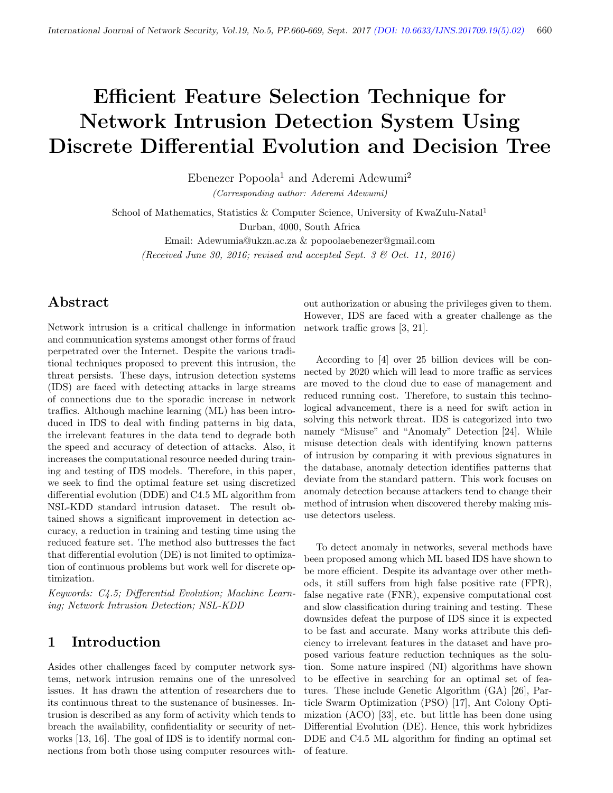# Efficient Feature Selection Technique for Network Intrusion Detection System Using Discrete Differential Evolution and Decision Tree

Ebenezer Popoola<sup>1</sup> and Aderemi Adewumi<sup>2</sup> (Corresponding author: Aderemi Adewumi)

School of Mathematics, Statistics & Computer Science, University of KwaZulu-Natal<sup>1</sup> Durban, 4000, South Africa

Email: Adewumia@ukzn.ac.za & popoolaebenezer@gmail.com (Received June 30, 2016; revised and accepted Sept. 3 & Oct. 11, 2016)

# Abstract

Network intrusion is a critical challenge in information and communication systems amongst other forms of fraud perpetrated over the Internet. Despite the various traditional techniques proposed to prevent this intrusion, the threat persists. These days, intrusion detection systems (IDS) are faced with detecting attacks in large streams of connections due to the sporadic increase in network traffics. Although machine learning (ML) has been introduced in IDS to deal with finding patterns in big data, the irrelevant features in the data tend to degrade both the speed and accuracy of detection of attacks. Also, it increases the computational resource needed during training and testing of IDS models. Therefore, in this paper, we seek to find the optimal feature set using discretized differential evolution (DDE) and C4.5 ML algorithm from NSL-KDD standard intrusion dataset. The result obtained shows a significant improvement in detection accuracy, a reduction in training and testing time using the reduced feature set. The method also buttresses the fact that differential evolution (DE) is not limited to optimization of continuous problems but work well for discrete optimization.

Keywords: C4.5; Differential Evolution; Machine Learning; Network Intrusion Detection; NSL-KDD

# 1 Introduction

Asides other challenges faced by computer network systems, network intrusion remains one of the unresolved issues. It has drawn the attention of researchers due to its continuous threat to the sustenance of businesses. Intrusion is described as any form of activity which tends to breach the availability, confidentiality or security of networks [13, 16]. The goal of IDS is to identify normal connections from both those using computer resources with-

out authorization or abusing the privileges given to them. However, IDS are faced with a greater challenge as the network traffic grows [3, 21].

According to [4] over 25 billion devices will be connected by 2020 which will lead to more traffic as services are moved to the cloud due to ease of management and reduced running cost. Therefore, to sustain this technological advancement, there is a need for swift action in solving this network threat. IDS is categorized into two namely "Misuse" and "Anomaly" Detection [24]. While misuse detection deals with identifying known patterns of intrusion by comparing it with previous signatures in the database, anomaly detection identifies patterns that deviate from the standard pattern. This work focuses on anomaly detection because attackers tend to change their method of intrusion when discovered thereby making misuse detectors useless.

To detect anomaly in networks, several methods have been proposed among which ML based IDS have shown to be more efficient. Despite its advantage over other methods, it still suffers from high false positive rate (FPR), false negative rate (FNR), expensive computational cost and slow classification during training and testing. These downsides defeat the purpose of IDS since it is expected to be fast and accurate. Many works attribute this deficiency to irrelevant features in the dataset and have proposed various feature reduction techniques as the solution. Some nature inspired (NI) algorithms have shown to be effective in searching for an optimal set of features. These include Genetic Algorithm (GA) [26], Particle Swarm Optimization (PSO) [17], Ant Colony Optimization (ACO) [33], etc. but little has been done using Differential Evolution (DE). Hence, this work hybridizes DDE and C4.5 ML algorithm for finding an optimal set of feature.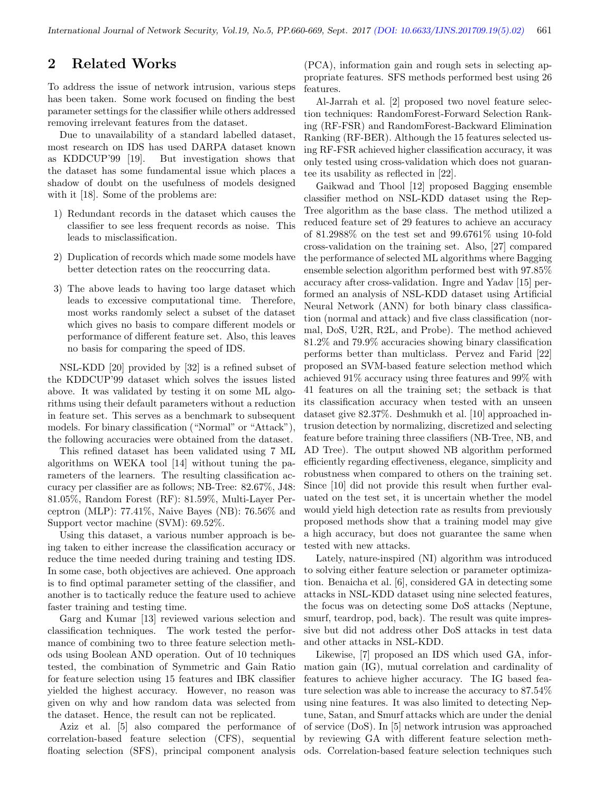# 2 Related Works

To address the issue of network intrusion, various steps has been taken. Some work focused on finding the best parameter settings for the classifier while others addressed removing irrelevant features from the dataset.

Due to unavailability of a standard labelled dataset, most research on IDS has used DARPA dataset known as KDDCUP'99 [19]. But investigation shows that the dataset has some fundamental issue which places a shadow of doubt on the usefulness of models designed with it [18]. Some of the problems are:

- 1) Redundant records in the dataset which causes the classifier to see less frequent records as noise. This leads to misclassification.
- 2) Duplication of records which made some models have better detection rates on the reoccurring data.
- 3) The above leads to having too large dataset which leads to excessive computational time. Therefore, most works randomly select a subset of the dataset which gives no basis to compare different models or performance of different feature set. Also, this leaves no basis for comparing the speed of IDS.

NSL-KDD [20] provided by [32] is a refined subset of the KDDCUP'99 dataset which solves the issues listed above. It was validated by testing it on some ML algorithms using their default parameters without a reduction in feature set. This serves as a benchmark to subsequent models. For binary classification ("Normal" or "Attack"), the following accuracies were obtained from the dataset.

This refined dataset has been validated using 7 ML algorithms on WEKA tool [14] without tuning the parameters of the learners. The resulting classification accuracy per classifier are as follows; NB-Tree: 82.67%, J48: 81.05%, Random Forest (RF): 81.59%, Multi-Layer Perceptron (MLP): 77.41%, Naive Bayes (NB): 76.56% and Support vector machine (SVM): 69.52%.

Using this dataset, a various number approach is being taken to either increase the classification accuracy or reduce the time needed during training and testing IDS. In some case, both objectives are achieved. One approach is to find optimal parameter setting of the classifier, and another is to tactically reduce the feature used to achieve faster training and testing time.

Garg and Kumar [13] reviewed various selection and classification techniques. The work tested the performance of combining two to three feature selection methods using Boolean AND operation. Out of 10 techniques tested, the combination of Symmetric and Gain Ratio for feature selection using 15 features and IBK classifier yielded the highest accuracy. However, no reason was given on why and how random data was selected from the dataset. Hence, the result can not be replicated.

Aziz et al. [5] also compared the performance of correlation-based feature selection (CFS), sequential floating selection (SFS), principal component analysis (PCA), information gain and rough sets in selecting appropriate features. SFS methods performed best using 26 features.

Al-Jarrah et al. [2] proposed two novel feature selection techniques: RandomForest-Forward Selection Ranking (RF-FSR) and RandomForest-Backward Elimination Ranking (RF-BER). Although the 15 features selected using RF-FSR achieved higher classification accuracy, it was only tested using cross-validation which does not guarantee its usability as reflected in [22].

Gaikwad and Thool [12] proposed Bagging ensemble classifier method on NSL-KDD dataset using the Rep-Tree algorithm as the base class. The method utilized a reduced feature set of 29 features to achieve an accuracy of 81.2988% on the test set and 99.6761% using 10-fold cross-validation on the training set. Also, [27] compared the performance of selected ML algorithms where Bagging ensemble selection algorithm performed best with 97.85% accuracy after cross-validation. Ingre and Yadav [15] performed an analysis of NSL-KDD dataset using Artificial Neural Network (ANN) for both binary class classification (normal and attack) and five class classification (normal, DoS, U2R, R2L, and Probe). The method achieved 81.2% and 79.9% accuracies showing binary classification performs better than multiclass. Pervez and Farid [22] proposed an SVM-based feature selection method which achieved 91% accuracy using three features and 99% with 41 features on all the training set; the setback is that its classification accuracy when tested with an unseen dataset give 82.37%. Deshmukh et al. [10] approached intrusion detection by normalizing, discretized and selecting feature before training three classifiers (NB-Tree, NB, and AD Tree). The output showed NB algorithm performed efficiently regarding effectiveness, elegance, simplicity and robustness when compared to others on the training set. Since [10] did not provide this result when further evaluated on the test set, it is uncertain whether the model would yield high detection rate as results from previously proposed methods show that a training model may give a high accuracy, but does not guarantee the same when tested with new attacks.

Lately, nature-inspired (NI) algorithm was introduced to solving either feature selection or parameter optimization. Benaicha et al. [6], considered GA in detecting some attacks in NSL-KDD dataset using nine selected features, the focus was on detecting some DoS attacks (Neptune, smurf, teardrop, pod, back). The result was quite impressive but did not address other DoS attacks in test data and other attacks in NSL-KDD.

Likewise, [7] proposed an IDS which used GA, information gain (IG), mutual correlation and cardinality of features to achieve higher accuracy. The IG based feature selection was able to increase the accuracy to 87.54% using nine features. It was also limited to detecting Neptune, Satan, and Smurf attacks which are under the denial of service (DoS). In [5] network intrusion was approached by reviewing GA with different feature selection methods. Correlation-based feature selection techniques such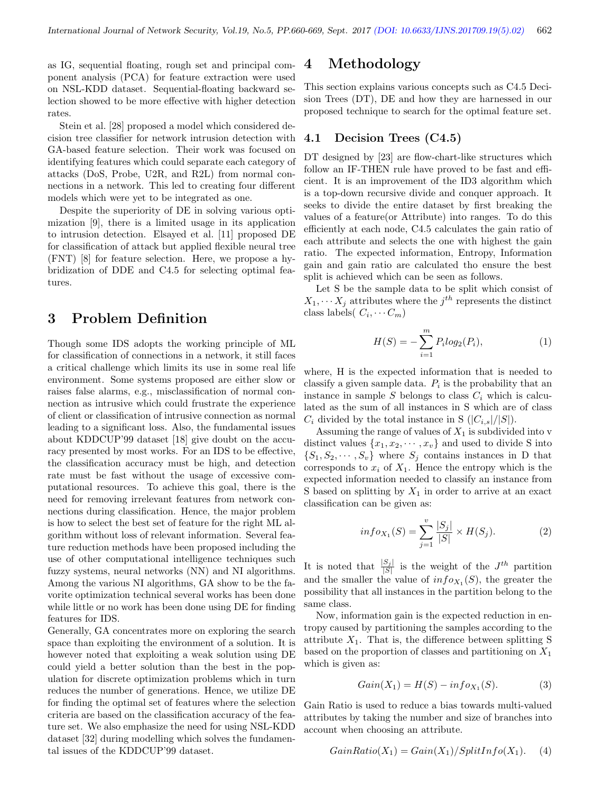as IG, sequential floating, rough set and principal component analysis (PCA) for feature extraction were used on NSL-KDD dataset. Sequential-floating backward selection showed to be more effective with higher detection rates.

Stein et al. [28] proposed a model which considered decision tree classifier for network intrusion detection with GA-based feature selection. Their work was focused on identifying features which could separate each category of attacks (DoS, Probe, U2R, and R2L) from normal connections in a network. This led to creating four different models which were yet to be integrated as one.

Despite the superiority of DE in solving various optimization [9], there is a limited usage in its application to intrusion detection. Elsayed et al. [11] proposed DE for classification of attack but applied flexible neural tree (FNT) [8] for feature selection. Here, we propose a hybridization of DDE and C4.5 for selecting optimal features.

# 3 Problem Definition

Though some IDS adopts the working principle of ML for classification of connections in a network, it still faces a critical challenge which limits its use in some real life environment. Some systems proposed are either slow or raises false alarms, e.g., misclassification of normal connection as intrusive which could frustrate the experience of client or classification of intrusive connection as normal leading to a significant loss. Also, the fundamental issues about KDDCUP'99 dataset [18] give doubt on the accuracy presented by most works. For an IDS to be effective, the classification accuracy must be high, and detection rate must be fast without the usage of excessive computational resources. To achieve this goal, there is the need for removing irrelevant features from network connections during classification. Hence, the major problem is how to select the best set of feature for the right ML algorithm without loss of relevant information. Several feature reduction methods have been proposed including the use of other computational intelligence techniques such fuzzy systems, neural networks (NN) and NI algorithms. Among the various NI algorithms, GA show to be the favorite optimization technical several works has been done while little or no work has been done using DE for finding features for IDS.

Generally, GA concentrates more on exploring the search space than exploiting the environment of a solution. It is however noted that exploiting a weak solution using DE could yield a better solution than the best in the population for discrete optimization problems which in turn reduces the number of generations. Hence, we utilize DE for finding the optimal set of features where the selection criteria are based on the classification accuracy of the feature set. We also emphasize the need for using NSL-KDD dataset [32] during modelling which solves the fundamental issues of the KDDCUP'99 dataset.

### 4 Methodology

This section explains various concepts such as C4.5 Decision Trees (DT), DE and how they are harnessed in our proposed technique to search for the optimal feature set.

#### 4.1 Decision Trees (C4.5)

DT designed by [23] are flow-chart-like structures which follow an IF-THEN rule have proved to be fast and efficient. It is an improvement of the ID3 algorithm which is a top-down recursive divide and conquer approach. It seeks to divide the entire dataset by first breaking the values of a feature(or Attribute) into ranges. To do this efficiently at each node, C4.5 calculates the gain ratio of each attribute and selects the one with highest the gain ratio. The expected information, Entropy, Information gain and gain ratio are calculated tho ensure the best split is achieved which can be seen as follows.

Let S be the sample data to be split which consist of  $X_1, \cdots X_j$  attributes where the  $j^{th}$  represents the distinct class labels( $C_i, \cdots C_m$ )

$$
H(S) = -\sum_{i=1}^{m} P_i \log_2(P_i), \tag{1}
$$

where, H is the expected information that is needed to classify a given sample data.  $P_i$  is the probability that an instance in sample  $S$  belongs to class  $C_i$  which is calculated as the sum of all instances in S which are of class  $C_i$  divided by the total instance in S  $(|C_{i,s}|/|S|)$ .

Assuming the range of values of  $X_1$  is subdivided into v distinct values  $\{x_1, x_2, \dots, x_v\}$  and used to divide S into  $\{S_1, S_2, \cdots, S_v\}$  where  $S_j$  contains instances in D that corresponds to  $x_i$  of  $X_1$ . Hence the entropy which is the expected information needed to classify an instance from S based on splitting by  $X_1$  in order to arrive at an exact classification can be given as:

$$
info_{X_1}(S) = \sum_{j=1}^{v} \frac{|S_j|}{|S|} \times H(S_j).
$$
 (2)

It is noted that  $\frac{|S_j|}{|S|}$  is the weight of the  $J^{th}$  partition and the smaller the value of  $info_{X_1}(S)$ , the greater the possibility that all instances in the partition belong to the same class.

Now, information gain is the expected reduction in entropy caused by partitioning the samples according to the attribute  $X_1$ . That is, the difference between splitting S based on the proportion of classes and partitioning on  $X_1$ which is given as:

$$
Gain(X_1) = H(S) - info_{X_1}(S). \tag{3}
$$

Gain Ratio is used to reduce a bias towards multi-valued attributes by taking the number and size of branches into account when choosing an attribute.

$$
GainRatio(X_1) = Gain(X_1) / SplitInfo(X_1). \tag{4}
$$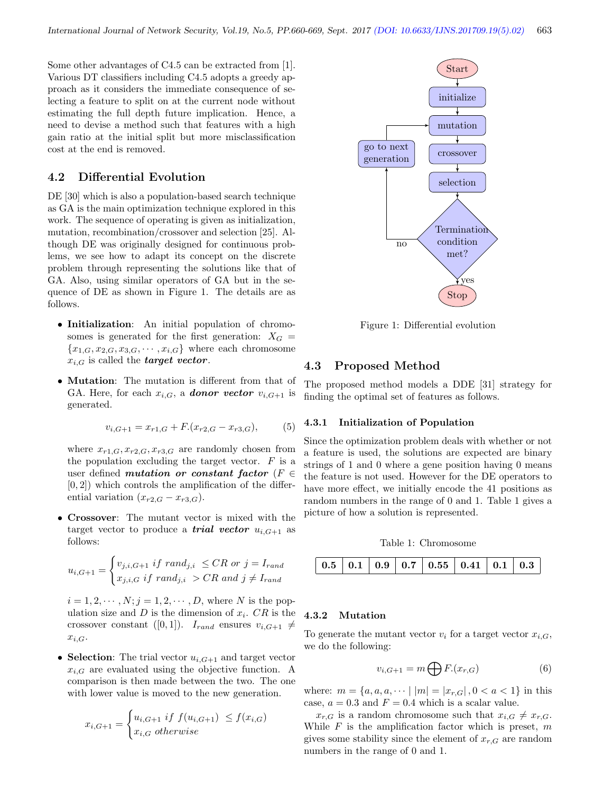Some other advantages of C4.5 can be extracted from [1]. Various DT classifiers including C4.5 adopts a greedy approach as it considers the immediate consequence of selecting a feature to split on at the current node without estimating the full depth future implication. Hence, a need to devise a method such that features with a high gain ratio at the initial split but more misclassification cost at the end is removed.

#### 4.2 Differential Evolution

DE [30] which is also a population-based search technique as GA is the main optimization technique explored in this work. The sequence of operating is given as initialization, mutation, recombination/crossover and selection [25]. Although DE was originally designed for continuous problems, we see how to adapt its concept on the discrete problem through representing the solutions like that of GA. Also, using similar operators of GA but in the sequence of DE as shown in Figure 1. The details are as follows.

- Initialization: An initial population of chromosomes is generated for the first generation:  $X_G =$  ${x_{1,G}, x_{2,G}, x_{3,G}, \cdots, x_{i,G}}$  where each chromosome  $x_{i,G}$  is called the *target vector*.
- Mutation: The mutation is different from that of GA. Here, for each  $x_{i,G}$ , a **donor vector**  $v_{i,G+1}$  is generated.

$$
v_{i,G+1} = x_{r1,G} + F.(x_{r2,G} - x_{r3,G}),
$$
 (5)

where  $x_{r1,G}, x_{r2,G}, x_{r3,G}$  are randomly chosen from the population excluding the target vector.  $F$  is a user defined *mutation* or constant factor ( $F \in$  $[0, 2]$ ) which controls the amplification of the differential variation  $(x_{r2,G} - x_{r3,G})$ .

• Crossover: The mutant vector is mixed with the target vector to produce a **trial vector**  $u_{i,G+1}$  as follows:

$$
u_{i,G+1} = \begin{cases} v_{j,i,G+1} \text{ if } rand_{j,i} \leq CR \text{ or } j = I_{rand} \\ x_{j,i,G} \text{ if } rand_{j,i} > CR \text{ and } j \neq I_{rand} \end{cases}
$$

 $i = 1, 2, \dots, N; j = 1, 2, \dots, D$ , where N is the population size and  $D$  is the dimension of  $x_i$ .  $CR$  is the crossover constant ([0, 1]).  $I_{rand}$  ensures  $v_{i,G+1} \neq$  $x_{i,G}$ .

• Selection: The trial vector  $u_{i,G+1}$  and target vector  $x_{i,G}$  are evaluated using the objective function. A comparison is then made between the two. The one with lower value is moved to the new generation.

$$
x_{i,G+1} = \begin{cases} u_{i,G+1} & \text{if } f(u_{i,G+1}) \le f(x_{i,G}) \\ x_{i,G} & \text{otherwise} \end{cases}
$$



Figure 1: Differential evolution

#### 4.3 Proposed Method

The proposed method models a DDE [31] strategy for finding the optimal set of features as follows.

#### 4.3.1 Initialization of Population

Since the optimization problem deals with whether or not a feature is used, the solutions are expected are binary strings of 1 and 0 where a gene position having 0 means the feature is not used. However for the DE operators to have more effect, we initially encode the 41 positions as random numbers in the range of 0 and 1. Table 1 gives a picture of how a solution is represented.

Table 1: Chromosome



#### 4.3.2 Mutation

To generate the mutant vector  $v_i$  for a target vector  $x_{i,G}$ , we do the following:

$$
v_{i,G+1} = m \bigoplus F.(x_{r,G})
$$
\n(6)

where:  $m = \{a, a, a, \dots | |m| = |x_{r,G}|, 0 < a < 1\}$  in this case,  $a = 0.3$  and  $F = 0.4$  which is a scalar value.

 $x_{r,G}$  is a random chromosome such that  $x_{i,G} \neq x_{r,G}$ . While  $F$  is the amplification factor which is preset,  $m$ gives some stability since the element of  $x_{r,G}$  are random numbers in the range of 0 and 1.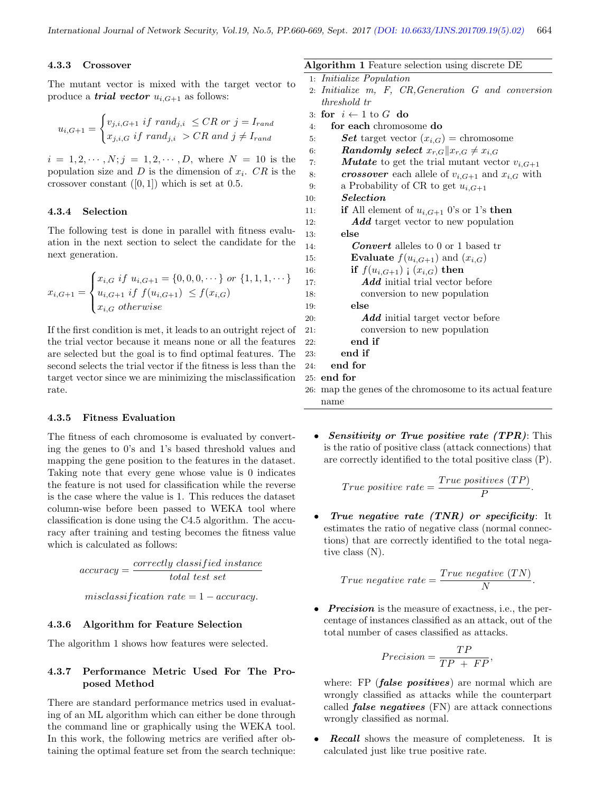name

#### 4.3.3 Crossover

The mutant vector is mixed with the target vector to produce a *trial vector*  $u_{i,G+1}$  as follows:

$$
u_{i,G+1} = \begin{cases} v_{j,i,G+1} \text{ if } rand_{j,i} \leq CR \text{ or } j = I_{rand} \\ x_{j,i,G} \text{ if } rand_{j,i} > CR \text{ and } j \neq I_{rand} \end{cases}
$$

 $i = 1, 2, \dots, N; j = 1, 2, \dots, D$ , where  $N = 10$  is the population size and  $D$  is the dimension of  $x_i$ .  $CR$  is the crossover constant  $([0, 1])$  which is set at 0.5.

#### 4.3.4 Selection

The following test is done in parallel with fitness evaluation in the next section to select the candidate for the next generation.

$$
x_{i,G+1} = \begin{cases} x_{i,G} \text{ if } u_{i,G+1} = \{0,0,0,\cdots\} \text{ or } \{1,1,1,\cdots\} \\ u_{i,G+1} \text{ if } f(u_{i,G+1}) \le f(x_{i,G}) \\ x_{i,G} \text{ otherwise} \end{cases}
$$

If the first condition is met, it leads to an outright reject of the trial vector because it means none or all the features are selected but the goal is to find optimal features. The second selects the trial vector if the fitness is less than the target vector since we are minimizing the misclassification rate.

#### 4.3.5 Fitness Evaluation

The fitness of each chromosome is evaluated by converting the genes to 0's and 1's based threshold values and mapping the gene position to the features in the dataset. Taking note that every gene whose value is 0 indicates the feature is not used for classification while the reverse is the case where the value is 1. This reduces the dataset column-wise before been passed to WEKA tool where classification is done using the C4.5 algorithm. The accuracy after training and testing becomes the fitness value which is calculated as follows:

$$
accuracy = \frac{correctly\ classified\ instance}{total\ test\ set}
$$

 $misclassification rate = 1 - accuracy.$ 

#### 4.3.6 Algorithm for Feature Selection

The algorithm 1 shows how features were selected.

#### 4.3.7 Performance Metric Used For The Proposed Method

There are standard performance metrics used in evaluating of an ML algorithm which can either be done through the command line or graphically using the WEKA tool. In this work, the following metrics are verified after obtaining the optimal feature set from the search technique:

|     | <b>Algorithm 1</b> Feature selection using discrete DE          |
|-----|-----------------------------------------------------------------|
|     | 1: Initialize Population                                        |
|     | 2: Initialize m, F, CR, Generation G and conversion             |
|     | threshold tr                                                    |
|     | 3: for $i \leftarrow 1$ to G do                                 |
| 4:  | for each chromosome do                                          |
| 5:  | <b>Set</b> target vector $(x_{i,G})$ = chromosome               |
| 6:  | Randomly select $x_{r,G}  x_{r,G} \neq x_{i,G}$                 |
| 7:  | <b><i>Mutate</i></b> to get the trial mutant vector $v_{i,G+1}$ |
| 8:  | <i>crossover</i> each allele of $v_{i,G+1}$ and $x_{i,G}$ with  |
| 9:  | a Probability of CR to get $u_{i,G+1}$                          |
| 10: | <i><u>Selection</u></i>                                         |
| 11: | if All element of $u_{i,G+1}$ 0's or 1's then                   |
| 12: | <b>Add</b> target vector to new population                      |
| 13: | else                                                            |
| 14: | <b>Convert</b> alleles to 0 or 1 based tr                       |
| 15: | <b>Evaluate</b> $f(u_{i,G+1})$ and $(x_{i,G})$                  |
| 16: | if $f(u_{i,G+1})$ ; $(x_{i,G})$ then                            |
| 17: | <b>Add</b> initial trial vector before                          |
| 18: | conversion to new population                                    |
| 19: | else                                                            |
| 20: | <b>Add</b> initial target vector before                         |
| 21: | conversion to new population                                    |
| 22: | end if                                                          |
| 23: | end if                                                          |
| 24: | end for                                                         |
|     | 25: end for                                                     |
|     | 26: map the genes of the chromosome to its actual feature       |

• Sensitivity or True positive rate  $(TPR)$ : This is the ratio of positive class (attack connections) that are correctly identified to the total positive class (P).

$$
True\ positive\ rate = \frac{True\ positives\ (TP)}{P}.
$$

True negative rate  $(TNR)$  or specificity: It estimates the ratio of negative class (normal connections) that are correctly identified to the total negative class (N).

$$
True\ negative\ rate = \frac{True\ negative\ (TN)}{N}.
$$

• **Precision** is the measure of exactness, i.e., the percentage of instances classified as an attack, out of the total number of cases classified as attacks.

$$
Precision = \frac{TP}{TP + FP},
$$

where: FP (*false positives*) are normal which are wrongly classified as attacks while the counterpart called *false negatives*  $(FN)$  are attack connections wrongly classified as normal.

• Recall shows the measure of completeness. It is calculated just like true positive rate.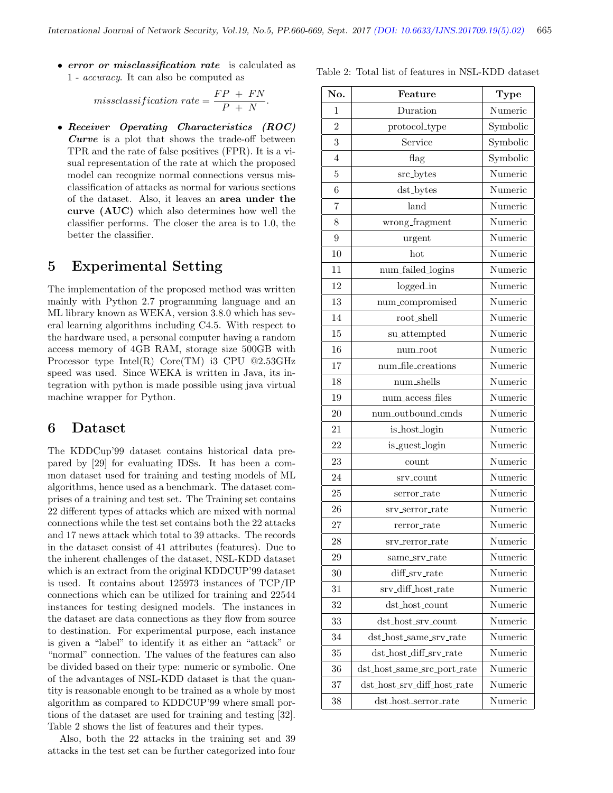• error or misclassification rate is calculated as 1 - accuracy. It can also be computed as

> $missclassification \ rate = \frac{FP + FN}{P + TN}$  $\frac{1}{P + N}.$

• Receiver Operating Characteristics (ROC) Curve is a plot that shows the trade-off between TPR and the rate of false positives (FPR). It is a visual representation of the rate at which the proposed model can recognize normal connections versus misclassification of attacks as normal for various sections of the dataset. Also, it leaves an area under the curve (AUC) which also determines how well the classifier performs. The closer the area is to 1.0, the better the classifier.

# 5 Experimental Setting

The implementation of the proposed method was written mainly with Python 2.7 programming language and an ML library known as WEKA, version 3.8.0 which has several learning algorithms including C4.5. With respect to the hardware used, a personal computer having a random access memory of 4GB RAM, storage size 500GB with Processor type Intel(R)  $Core(TM)$  i3 CPU @2.53GHz speed was used. Since WEKA is written in Java, its integration with python is made possible using java virtual machine wrapper for Python.

### 6 Dataset

The KDDCup'99 dataset contains historical data prepared by [29] for evaluating IDSs. It has been a common dataset used for training and testing models of ML algorithms, hence used as a benchmark. The dataset comprises of a training and test set. The Training set contains 22 different types of attacks which are mixed with normal connections while the test set contains both the 22 attacks and 17 news attack which total to 39 attacks. The records in the dataset consist of 41 attributes (features). Due to the inherent challenges of the dataset, NSL-KDD dataset which is an extract from the original KDDCUP'99 dataset is used. It contains about 125973 instances of TCP/IP connections which can be utilized for training and 22544 instances for testing designed models. The instances in the dataset are data connections as they flow from source to destination. For experimental purpose, each instance is given a "label" to identify it as either an "attack" or "normal" connection. The values of the features can also be divided based on their type: numeric or symbolic. One of the advantages of NSL-KDD dataset is that the quantity is reasonable enough to be trained as a whole by most algorithm as compared to KDDCUP'99 where small portions of the dataset are used for training and testing [32]. Table 2 shows the list of features and their types.

Also, both the 22 attacks in the training set and 39 attacks in the test set can be further categorized into four

| No.            | Feature                     | <b>Type</b> |
|----------------|-----------------------------|-------------|
| 1              | Duration                    | Numeric     |
| $\overline{2}$ | protocol_type               | Symbolic    |
| 3              | Service                     | Symbolic    |
| $\overline{4}$ | flag                        | Symbolic    |
| 5              | src_bytes                   | Numeric     |
| 6              | dst_bytes                   | Numeric     |
| 7              | land                        | Numeric     |
| 8              | wrong_fragment              | Numeric     |
| 9              | urgent                      | Numeric     |
| 10             | hot                         | Numeric     |
| 11             | num_failed_logins           | Numeric     |
| 12             | logged_in                   | Numeric     |
| 13             | num_compromised             | Numeric     |
| 14             | $root\_shell$               | Numeric     |
| 15             | su_attempted                | Numeric     |
| 16             | num_root                    | Numeric     |
| 17             | num_file_creations          | Numeric     |
| 18             | num_shells                  | Numeric     |
| 19             | num_access_files            | Numeric     |
| 20             | num_outbound_cmds           | Numeric     |
| 21             | is_host_login               | Numeric     |
| 22             | is_guest_login              | Numeric     |
| 23             | count                       | Numeric     |
| 24             | srv_count                   | Numeric     |
| 25             | serror_rate                 | Numeric     |
| 26             | srv_serror_rate             | Numeric     |
| 27             | rerror_rate                 | Numeric     |
| 28             | srv_rerror_rate             | Numeric     |
| 29             | same_srv_rate               | Numeric     |
| 30             | diff_srv_rate               | Numeric     |
| 31             | srv_diff_host_rate          | Numeric     |
| 32             | $dst\_host\_count$          | Numeric     |
| 33             | dst_host_srv_count          | Numeric     |
| 34             | dst_host_same_srv_rate      | Numeric     |
| 35             | dst_host_diff_srv_rate      | Numeric     |
| 36             | dst_host_same_src_port_rate | Numeric     |
| 37             | dst_host_srv_diff_host_rate | Numeric     |
| 38             | dst_host_serror_rate        | Numeric     |

Table 2: Total list of features in NSL-KDD dataset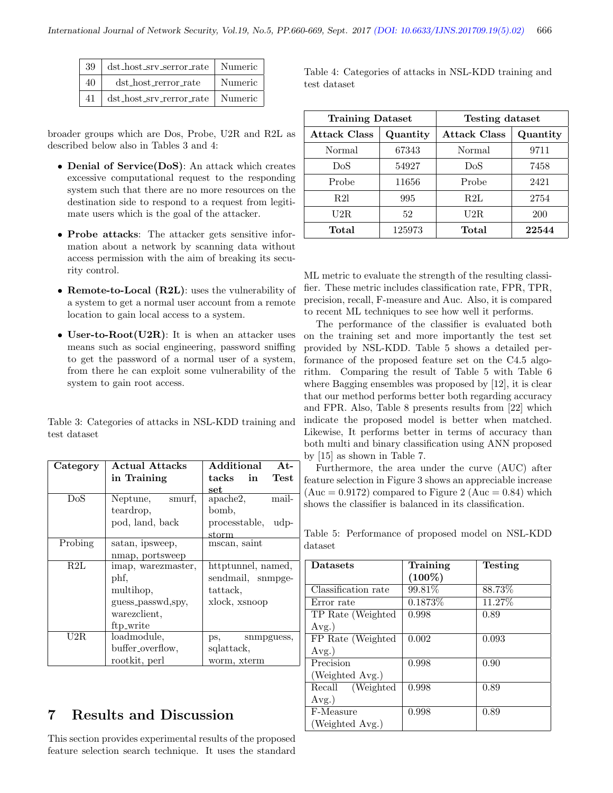| 39  | dst_host_srv_serror_rate   Numeric |         |
|-----|------------------------------------|---------|
| 40  | dst_host_rerror_rate               | Numeric |
| 41. | dst_host_srv_rerror_rate   Numeric |         |

broader groups which are Dos, Probe, U2R and R2L as described below also in Tables 3 and 4:

- Denial of Service(DoS): An attack which creates excessive computational request to the responding system such that there are no more resources on the destination side to respond to a request from legitimate users which is the goal of the attacker.
- Probe attacks: The attacker gets sensitive information about a network by scanning data without access permission with the aim of breaking its security control.
- Remote-to-Local (R2L): uses the vulnerability of a system to get a normal user account from a remote location to gain local access to a system.
- User-to-Root(U2R): It is when an attacker uses means such as social engineering, password sniffing to get the password of a normal user of a system, from there he can exploit some vulnerability of the system to gain root access.

Table 3: Categories of attacks in NSL-KDD training and test dataset

| Category | <b>Actual Attacks</b> | Additional<br>$At-$     |
|----------|-----------------------|-------------------------|
|          | in Training           | tacks in<br><b>Test</b> |
|          |                       | set                     |
| DoS      | Neptune,<br>smurf,    | apache2,<br>mail-       |
|          | teardrop,             | bomb,                   |
|          | pod, land, back       | processtable, udp-      |
|          |                       | $_{\rm storm}$          |
| Probing  | satan, ipsweep,       | mscan, saint            |
|          | nmap, portsweep       |                         |
| R2L      | imap, warezmaster,    | httptunnel, named,      |
|          | phf,                  | sendmail, snmpge-       |
|          | multihop,             | tattack,                |
|          | guess_passwd,spy,     | xlock, xsnoop           |
|          | warezclient.          |                         |
|          | ftp_write             |                         |
| U2R.     | loadmodule,           | ps,<br>snmpguess,       |
|          | buffer_overflow,      | sqlattack,              |
|          | rootkit, perl         | worm, xterm             |

# 7 Results and Discussion

This section provides experimental results of the proposed feature selection search technique. It uses the standard Table 4: Categories of attacks in NSL-KDD training and test dataset

| <b>Training Dataset</b> |          | <b>Testing dataset</b> |          |  |
|-------------------------|----------|------------------------|----------|--|
| <b>Attack Class</b>     | Quantity | <b>Attack Class</b>    | Quantity |  |
| Normal                  | 67343    | Normal                 | 9711     |  |
| DoS                     | 54927    | DoS                    | 7458     |  |
| Probe                   | 11656    | Probe                  | 2421     |  |
| <b>R21</b>              | 995      | R2L                    | 2754     |  |
| $_{\rm U2R}$            | 52       | U2R                    | 200      |  |
| Total                   | 125973   | Total                  | 22544    |  |

ML metric to evaluate the strength of the resulting classifier. These metric includes classification rate, FPR, TPR, precision, recall, F-measure and Auc. Also, it is compared to recent ML techniques to see how well it performs.

The performance of the classifier is evaluated both on the training set and more importantly the test set provided by NSL-KDD. Table 5 shows a detailed performance of the proposed feature set on the C4.5 algorithm. Comparing the result of Table 5 with Table 6 where Bagging ensembles was proposed by [12], it is clear that our method performs better both regarding accuracy and FPR. Also, Table 8 presents results from [22] which indicate the proposed model is better when matched. Likewise, It performs better in terms of accuracy than both multi and binary classification using ANN proposed by [15] as shown in Table 7.

Furthermore, the area under the curve (AUC) after feature selection in Figure 3 shows an appreciable increase  $(Auc = 0.9172)$  compared to Figure 2  $(Auc = 0.84)$  which shows the classifier is balanced in its classification.

Table 5: Performance of proposed model on NSL-KDD dataset

| <b>Datasets</b>     | Training  | Testing |
|---------------------|-----------|---------|
|                     | $(100\%)$ |         |
| Classification rate | 99.81%    | 88.73%  |
| Error rate          | 0.1873\%  | 11.27%  |
| TP Rate (Weighted   | 0.998     | 0.89    |
| $Avg.$ )            |           |         |
| FP Rate (Weighted   | 0.002     | 0.093   |
| $Avg.$ )            |           |         |
| Precision           | 0.998     | 0.90    |
| (Weighted Avg.)     |           |         |
| Recall (Weighted    | 0.998     | 0.89    |
| $Avg.$ )            |           |         |
| F-Measure           | 0.998     | 0.89    |
| (Weighted Avg.)     |           |         |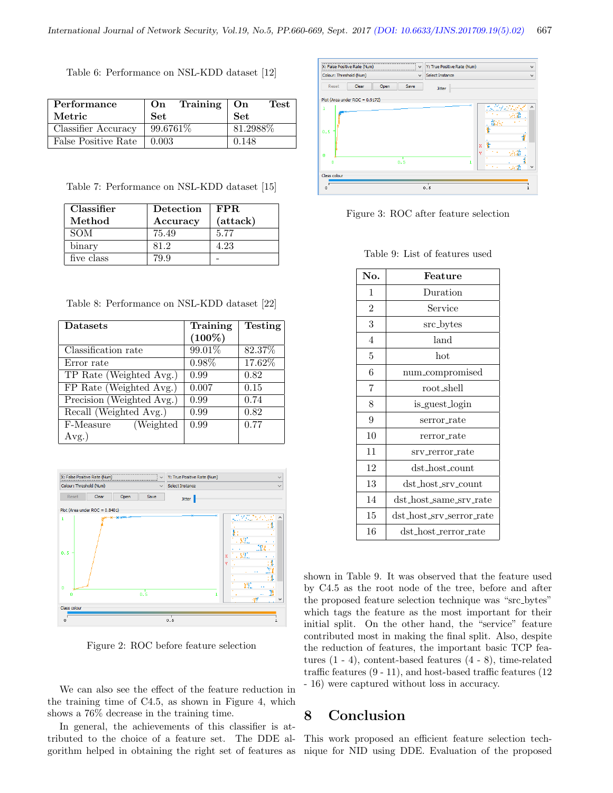Table 6: Performance on NSL-KDD dataset [12]

| Performance         | On         | Training $\vert$ On |            | <b>Test</b> |
|---------------------|------------|---------------------|------------|-------------|
| Metric              | <b>Set</b> |                     | <b>Set</b> |             |
| Classifier Accuracy | 99.6761\%  |                     | 81.2988\%  |             |
| False Positive Rate | 0.003      |                     | 0.148      |             |

Table 7: Performance on NSL-KDD dataset [15]

| Classifier | Detection | FPR.     |
|------------|-----------|----------|
| Method     | Accuracy  | (attack) |
| <b>SOM</b> | 75.49     | 5.77     |
| binary     | 81.2      | 4.23     |
| five class | 79 9      |          |

Table 8: Performance on NSL-KDD dataset [22]

| <b>Datasets</b>           | Training  | <b>Testing</b> |
|---------------------------|-----------|----------------|
|                           | $(100\%)$ |                |
| Classification rate       | 99.01%    | 82.37%         |
| Error rate                | $0.98\%$  | 17.62%         |
| TP Rate (Weighted Avg.)   | 0.99      | 0.82           |
| FP Rate (Weighted Avg.)   | 0.007     | 0.15           |
| Precision (Weighted Avg.) | 0.99      | 0.74           |
| Recall (Weighted Avg.)    | 0.99      | 0.82           |
| (Weighted)<br>F-Measure   | 0.99      | 0.77           |
| $Avg.$ )                  |           |                |



Figure 2: ROC before feature selection

We can also see the effect of the feature reduction in the training time of C4.5, as shown in Figure 4, which shows a 76% decrease in the training time.

In general, the achievements of this classifier is attributed to the choice of a feature set. The DDE algorithm helped in obtaining the right set of features as



Figure 3: ROC after feature selection

| Table 9: List of features used |  |
|--------------------------------|--|
|--------------------------------|--|

| No.            | Feature                  |  |
|----------------|--------------------------|--|
| 1              | Duration                 |  |
| $\overline{2}$ | Service                  |  |
| 3              | src_bytes                |  |
| 4              | land                     |  |
| 5              | hot                      |  |
| 6              | num_compromised          |  |
| 7              | root_shell               |  |
| 8              | is_guest_login           |  |
| 9              | serror rate              |  |
| 10             | rerror_rate              |  |
| 11             | srv_rerror_rate          |  |
| 12             | dst_host_count           |  |
| 13             | dst_host_srv_count       |  |
| 14             | dst_host_same_srv_rate   |  |
| 15             | dst_host_srv_serror_rate |  |
| 16             | dst_host_rerror_rate     |  |

shown in Table 9. It was observed that the feature used by C4.5 as the root node of the tree, before and after the proposed feature selection technique was "src bytes" which tags the feature as the most important for their initial split. On the other hand, the "service" feature contributed most in making the final split. Also, despite the reduction of features, the important basic TCP features (1 - 4), content-based features (4 - 8), time-related traffic features (9 - 11), and host-based traffic features (12 - 16) were captured without loss in accuracy.

### 8 Conclusion

This work proposed an efficient feature selection technique for NID using DDE. Evaluation of the proposed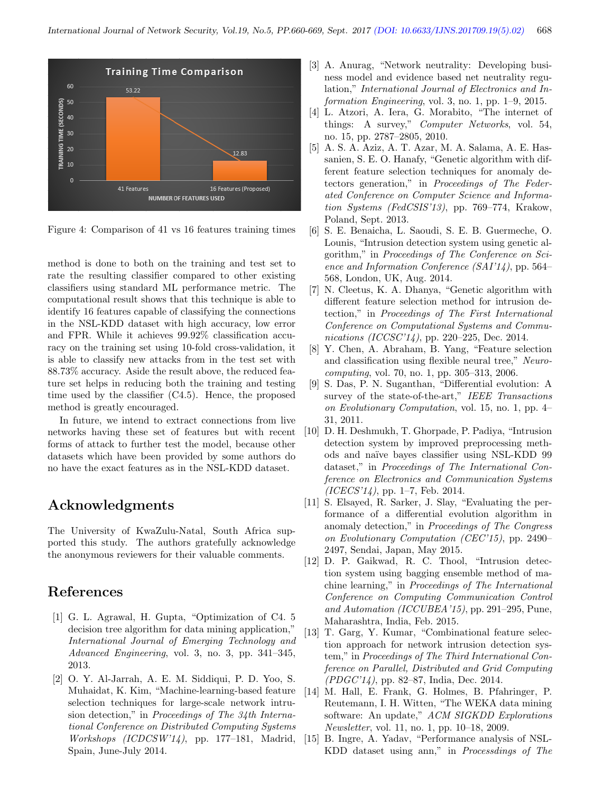

Figure 4: Comparison of 41 vs 16 features training times

method is done to both on the training and test set to rate the resulting classifier compared to other existing classifiers using standard ML performance metric. The computational result shows that this technique is able to identify 16 features capable of classifying the connections in the NSL-KDD dataset with high accuracy, low error and FPR. While it achieves 99.92% classification accuracy on the training set using 10-fold cross-validation, it is able to classify new attacks from in the test set with 88.73% accuracy. Aside the result above, the reduced feature set helps in reducing both the training and testing time used by the classifier (C4.5). Hence, the proposed method is greatly encouraged.

In future, we intend to extract connections from live networks having these set of features but with recent forms of attack to further test the model, because other datasets which have been provided by some authors do no have the exact features as in the NSL-KDD dataset.

# Acknowledgments

The University of KwaZulu-Natal, South Africa supported this study. The authors gratefully acknowledge the anonymous reviewers for their valuable comments.

# References

- [1] G. L. Agrawal, H. Gupta, "Optimization of C4. 5 decision tree algorithm for data mining application," International Journal of Emerging Technology and Advanced Engineering, vol. 3, no. 3, pp. 341–345, 2013.
- [2] O. Y. Al-Jarrah, A. E. M. Siddiqui, P. D. Yoo, S. Muhaidat, K. Kim, "Machine-learning-based feature selection techniques for large-scale network intrusion detection," in Proceedings of The 34th International Conference on Distributed Computing Systems Workshops (ICDCSW'14), pp. 177–181, Madrid, Spain, June-July 2014.
- [3] A. Anurag, "Network neutrality: Developing business model and evidence based net neutrality regulation," International Journal of Electronics and Information Engineering, vol. 3, no. 1, pp. 1–9, 2015.
- [4] L. Atzori, A. Iera, G. Morabito, "The internet of things: A survey," Computer Networks, vol. 54, no. 15, pp. 2787–2805, 2010.
- [5] A. S. A. Aziz, A. T. Azar, M. A. Salama, A. E. Hassanien, S. E. O. Hanafy, "Genetic algorithm with different feature selection techniques for anomaly detectors generation," in Proceedings of The Federated Conference on Computer Science and Information Systems (FedCSIS'13), pp. 769–774, Krakow, Poland, Sept. 2013.
- [6] S. E. Benaicha, L. Saoudi, S. E. B. Guermeche, O. Lounis, "Intrusion detection system using genetic algorithm," in Proceedings of The Conference on Science and Information Conference (SAI'14), pp. 564– 568, London, UK, Aug. 2014.
- [7] N. Cleetus, K. A. Dhanya, "Genetic algorithm with different feature selection method for intrusion detection," in Proceedings of The First International Conference on Computational Systems and Communications (ICCSC'14), pp. 220–225, Dec. 2014.
- [8] Y. Chen, A. Abraham, B. Yang, "Feature selection and classification using flexible neural tree," Neurocomputing, vol. 70, no. 1, pp. 305–313, 2006.
- [9] S. Das, P. N. Suganthan, "Differential evolution: A survey of the state-of-the-art," IEEE Transactions on Evolutionary Computation, vol. 15, no. 1, pp. 4– 31, 2011.
- [10] D. H. Deshmukh, T. Ghorpade, P. Padiya, "Intrusion detection system by improved preprocessing methods and na¨ıve bayes classifier using NSL-KDD 99 dataset," in Proceedings of The International Conference on Electronics and Communication Systems  $(ICECS'14)$ , pp. 1–7, Feb. 2014.
- [11] S. Elsayed, R. Sarker, J. Slay, "Evaluating the performance of a differential evolution algorithm in anomaly detection," in Proceedings of The Congress on Evolutionary Computation (CEC'15), pp. 2490– 2497, Sendai, Japan, May 2015.
- [12] D. P. Gaikwad, R. C. Thool, "Intrusion detection system using bagging ensemble method of machine learning," in Proceedings of The International Conference on Computing Communication Control and Automation (ICCUBEA'15), pp. 291–295, Pune, Maharashtra, India, Feb. 2015.
- [13] T. Garg, Y. Kumar, "Combinational feature selection approach for network intrusion detection system," in Proceedings of The Third International Conference on Parallel, Distributed and Grid Computing (PDGC'14), pp. 82–87, India, Dec. 2014.
- [14] M. Hall, E. Frank, G. Holmes, B. Pfahringer, P. Reutemann, I. H. Witten, "The WEKA data mining software: An update," ACM SIGKDD Explorations Newsletter, vol. 11, no. 1, pp. 10–18, 2009.
- [15] B. Ingre, A. Yadav, "Performance analysis of NSL-KDD dataset using ann," in Processdings of The